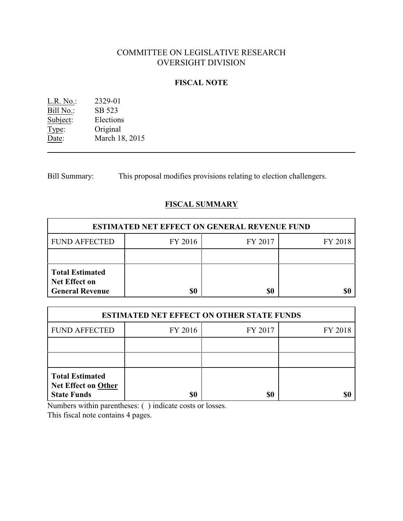# COMMITTEE ON LEGISLATIVE RESEARCH OVERSIGHT DIVISION

### **FISCAL NOTE**

L.R. No.: 2329-01  $\overline{\text{Bill No.}}$  SB 523 Subject: Elections<br>Type: Original Type: Original<br>Date: March 18 March 18, 2015

Bill Summary: This proposal modifies provisions relating to election challengers.

# **FISCAL SUMMARY**

| <b>ESTIMATED NET EFFECT ON GENERAL REVENUE FUND</b>                      |         |         |         |  |
|--------------------------------------------------------------------------|---------|---------|---------|--|
| <b>FUND AFFECTED</b>                                                     | FY 2016 | FY 2017 | FY 2018 |  |
|                                                                          |         |         |         |  |
| <b>Total Estimated</b><br><b>Net Effect on</b><br><b>General Revenue</b> |         | \$0     |         |  |

| <b>ESTIMATED NET EFFECT ON OTHER STATE FUNDS</b>                           |         |         |         |  |
|----------------------------------------------------------------------------|---------|---------|---------|--|
| <b>FUND AFFECTED</b>                                                       | FY 2016 | FY 2017 | FY 2018 |  |
|                                                                            |         |         |         |  |
|                                                                            |         |         |         |  |
| <b>Total Estimated</b><br><b>Net Effect on Other</b><br><b>State Funds</b> | \$0     | \$0     |         |  |

Numbers within parentheses: ( ) indicate costs or losses.

This fiscal note contains 4 pages.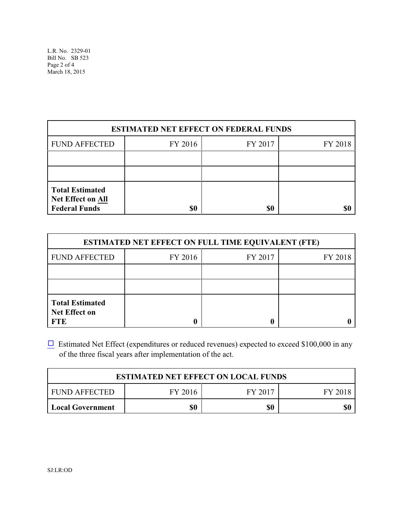| <b>ESTIMATED NET EFFECT ON FEDERAL FUNDS</b>                        |         |         |         |  |
|---------------------------------------------------------------------|---------|---------|---------|--|
| <b>FUND AFFECTED</b>                                                | FY 2016 | FY 2017 | FY 2018 |  |
|                                                                     |         |         |         |  |
|                                                                     |         |         |         |  |
| <b>Total Estimated</b><br>Net Effect on All<br><b>Federal Funds</b> | \$0     | \$0     |         |  |

| <b>ESTIMATED NET EFFECT ON FULL TIME EQUIVALENT (FTE)</b>    |         |         |         |  |
|--------------------------------------------------------------|---------|---------|---------|--|
| <b>FUND AFFECTED</b>                                         | FY 2016 | FY 2017 | FY 2018 |  |
|                                                              |         |         |         |  |
|                                                              |         |         |         |  |
| <b>Total Estimated</b><br><b>Net Effect on</b><br><b>FTE</b> |         |         |         |  |

 $\Box$  Estimated Net Effect (expenditures or reduced revenues) expected to exceed \$100,000 in any of the three fiscal years after implementation of the act.

| <b>ESTIMATED NET EFFECT ON LOCAL FUNDS</b> |         |         |         |  |
|--------------------------------------------|---------|---------|---------|--|
| <b>FUND AFFECTED</b>                       | FY 2016 | FY 2017 | FY 2018 |  |
| <b>Local Government</b>                    | \$0     | \$0     |         |  |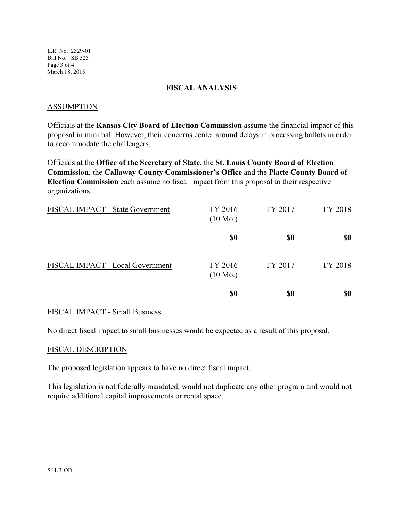L.R. No. 2329-01 Bill No. SB 523 Page 3 of 4 March 18, 2015

### **FISCAL ANALYSIS**

### ASSUMPTION

Officials at the **Kansas City Board of Election Commission** assume the financial impact of this proposal in minimal. However, their concerns center around delays in processing ballots in order to accommodate the challengers.

Officials at the **Office of the Secretary of State**, the **St. Louis County Board of Election Commission**, the **Callaway County Commissioner's Office** and the **Platte County Board of Election Commission** each assume no fiscal impact from this proposal to their respective organizations.

| <b>FISCAL IMPACT - State Government</b> | FY 2016<br>$(10 \text{ Mo.})$ | FY 2017    | FY 2018    |
|-----------------------------------------|-------------------------------|------------|------------|
|                                         | <u>\$0</u>                    | <u>\$0</u> | <u>\$0</u> |
| FISCAL IMPACT - Local Government        | FY 2016<br>$(10 \text{ Mo.})$ | FY 2017    | FY 2018    |
|                                         | <u>\$0</u>                    | <u>\$0</u> | <u>\$0</u> |

#### FISCAL IMPACT - Small Business

No direct fiscal impact to small businesses would be expected as a result of this proposal.

#### FISCAL DESCRIPTION

The proposed legislation appears to have no direct fiscal impact.

This legislation is not federally mandated, would not duplicate any other program and would not require additional capital improvements or rental space.